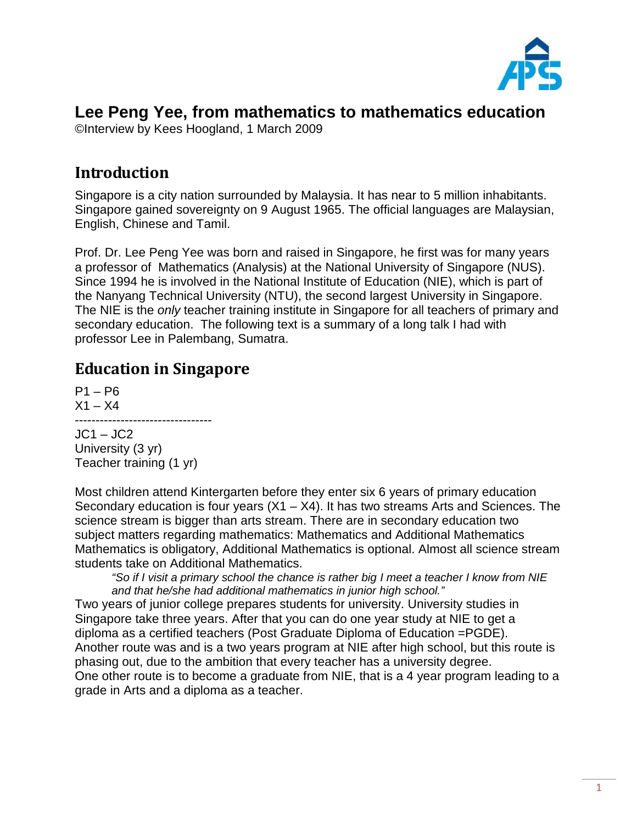

# **Lee Peng Yee, from mathematics to mathematics education**

©Interview by Kees Hoogland, 1 March 2009

## **Introduction**

Singapore is a city nation surrounded by Malaysia. It has near to 5 million inhabitants. Singapore gained sovereignty on 9 August 1965. The official languages are Malaysian, English, Chinese and Tamil.

Prof. Dr. Lee Peng Yee was born and raised in Singapore, he first was for many years a professor of Mathematics (Analysis) at the National University of Singapore (NUS). Since 1994 he is involved in the National Institute of Education (NIE), which is part of the Nanyang Technical University (NTU), the second largest University in Singapore. The NIE is the *only* teacher training institute in Singapore for all teachers of primary and secondary education. The following text is a summary of a long talk I had with professor Lee in Palembang, Sumatra.

## **Education in Singapore**

 $P1 - P6$  $X1 - X4$ ---------------------------------  $JC1 - JC2$ 

University (3 yr) Teacher training (1 yr)

Most children attend Kintergarten before they enter six 6 years of primary education Secondary education is four years  $(X1 - X4)$ . It has two streams Arts and Sciences. The science stream is bigger than arts stream. There are in secondary education two subject matters regarding mathematics: Mathematics and Additional Mathematics Mathematics is obligatory, Additional Mathematics is optional. Almost all science stream students take on Additional Mathematics.

*"So if I visit a primary school the chance is rather big I meet a teacher I know from NIE and that he/she had additional mathematics in junior high school."*

Two years of junior college prepares students for university. University studies in Singapore take three years. After that you can do one year study at NIE to get a diploma as a certified teachers (Post Graduate Diploma of Education =PGDE). Another route was and is a two years program at NIE after high school, but this route is phasing out, due to the ambition that every teacher has a university degree. One other route is to become a graduate from NIE, that is a 4 year program leading to a grade in Arts and a diploma as a teacher.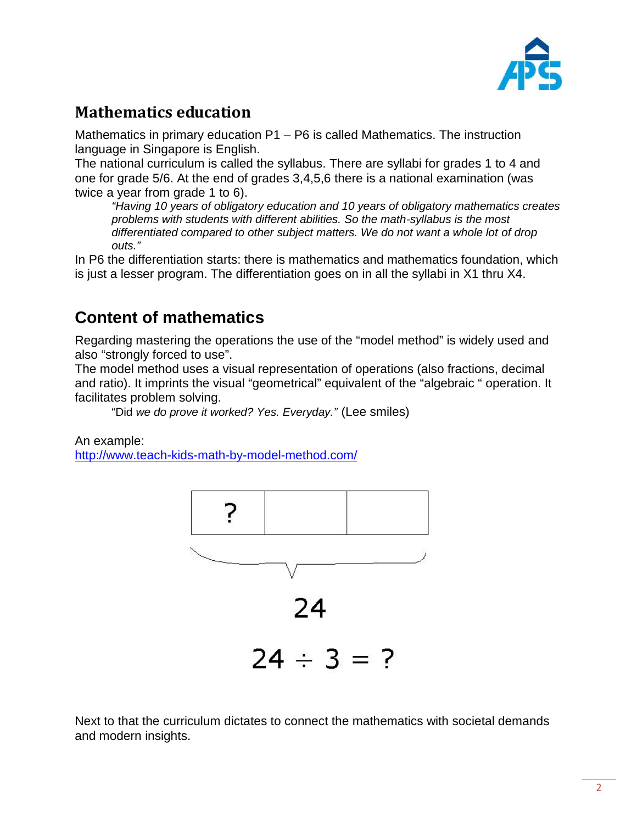

# **Mathematics education**

Mathematics in primary education P1 – P6 is called Mathematics. The instruction language in Singapore is English.

The national curriculum is called the syllabus. There are syllabi for grades 1 to 4 and one for grade 5/6. At the end of grades 3,4,5,6 there is a national examination (was twice a year from grade 1 to 6).

*"Having 10 years of obligatory education and 10 years of obligatory mathematics creates problems with students with different abilities. So the math-syllabus is the most differentiated compared to other subject matters. We do not want a whole lot of drop outs."*

In P6 the differentiation starts: there is mathematics and mathematics foundation, which is just a lesser program. The differentiation goes on in all the syllabi in X1 thru X4.

# **Content of mathematics**

Regarding mastering the operations the use of the "model method" is widely used and also "strongly forced to use".

The model method uses a visual representation of operations (also fractions, decimal and ratio). It imprints the visual "geometrical" equivalent of the "algebraic " operation. It facilitates problem solving.

"Did *we do prove it worked? Yes. Everyday."* (Lee smiles)

An example:

<http://www.teach-kids-math-by-model-method.com/>



Next to that the curriculum dictates to connect the mathematics with societal demands and modern insights.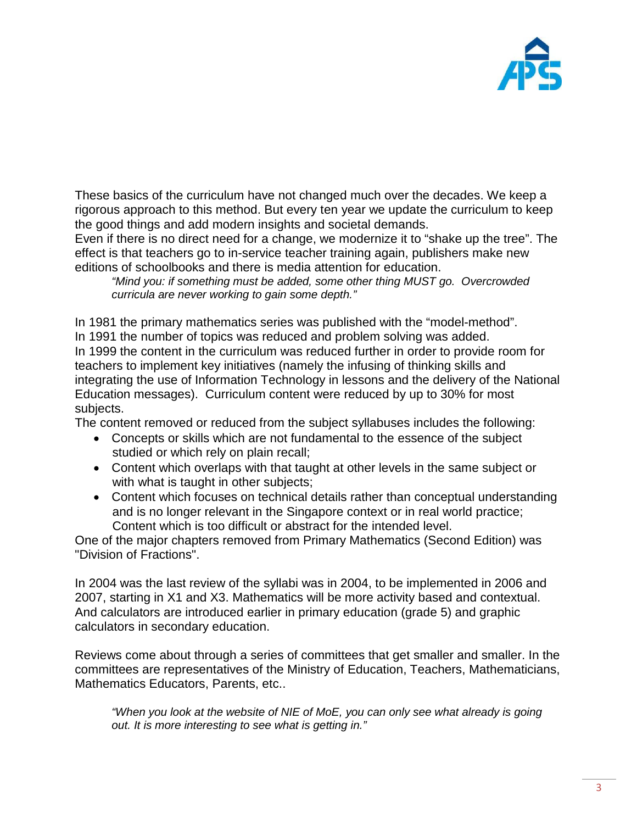

These basics of the curriculum have not changed much over the decades. We keep a rigorous approach to this method. But every ten year we update the curriculum to keep the good things and add modern insights and societal demands.

Even if there is no direct need for a change, we modernize it to "shake up the tree". The effect is that teachers go to in-service teacher training again, publishers make new editions of schoolbooks and there is media attention for education.

*"Mind you: if something must be added, some other thing MUST go. Overcrowded curricula are never working to gain some depth."*

In 1981 the primary mathematics series was published with the "model-method". In 1991 the number of topics was reduced and problem solving was added. In 1999 the content in the curriculum was reduced further in order to provide room for teachers to implement key initiatives (namely the infusing of thinking skills and integrating the use of Information Technology in lessons and the delivery of the National Education messages). Curriculum content were reduced by up to 30% for most subjects.

The content removed or reduced from the subject syllabuses includes the following:

- Concepts or skills which are not fundamental to the essence of the subject studied or which rely on plain recall;
- Content which overlaps with that taught at other levels in the same subject or with what is taught in other subjects;
- Content which focuses on technical details rather than conceptual understanding and is no longer relevant in the Singapore context or in real world practice; Content which is too difficult or abstract for the intended level.

One of the major chapters removed from Primary Mathematics (Second Edition) was "Division of Fractions".

In 2004 was the last review of the syllabi was in 2004, to be implemented in 2006 and 2007, starting in X1 and X3. Mathematics will be more activity based and contextual. And calculators are introduced earlier in primary education (grade 5) and graphic calculators in secondary education.

Reviews come about through a series of committees that get smaller and smaller. In the committees are representatives of the Ministry of Education, Teachers, Mathematicians, Mathematics Educators, Parents, etc..

*"When you look at the website of NIE of MoE, you can only see what already is going out. It is more interesting to see what is getting in."*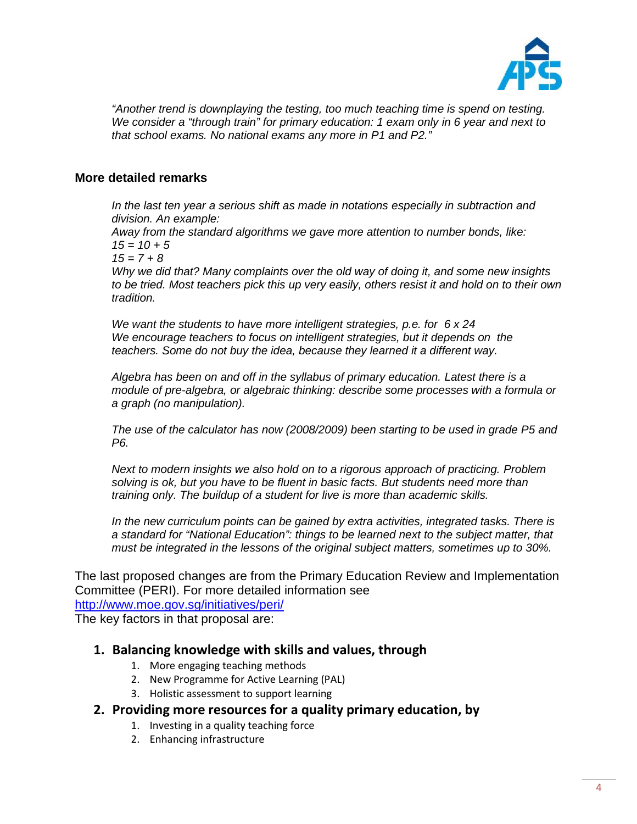

*"Another trend is downplaying the testing, too much teaching time is spend on testing. We consider a "through train" for primary education: 1 exam only in 6 year and next to that school exams. No national exams any more in P1 and P2."*

#### **More detailed remarks**

*In the last ten year a serious shift as made in notations especially in subtraction and division. An example:*

*Away from the standard algorithms we gave more attention to number bonds, like: 15 = 10 + 5*

*15 = 7 + 8*

*Why we did that? Many complaints over the old way of doing it, and some new insights to be tried. Most teachers pick this up very easily, others resist it and hold on to their own tradition.*

*We want the students to have more intelligent strategies, p.e. for 6 x 24 We encourage teachers to focus on intelligent strategies, but it depends on the teachers. Some do not buy the idea, because they learned it a different way.*

*Algebra has been on and off in the syllabus of primary education. Latest there is a module of pre-algebra, or algebraic thinking: describe some processes with a formula or a graph (no manipulation).*

*The use of the calculator has now (2008/2009) been starting to be used in grade P5 and P6.*

*Next to modern insights we also hold on to a rigorous approach of practicing. Problem solving is ok, but you have to be fluent in basic facts. But students need more than training only. The buildup of a student for live is more than academic skills.*

*In the new curriculum points can be gained by extra activities, integrated tasks. There is a standard for "National Education": things to be learned next to the subject matter, that must be integrated in the lessons of the original subject matters, sometimes up to 30%.*

The last proposed changes are from the Primary Education Review and Implementation Committee (PERI). For more detailed information see <http://www.moe.gov.sg/initiatives/peri/>

The key factors in that proposal are:

### **1. Balancing knowledge with skills and values, through**

- 1. More engaging teaching methods
- 2. New Programme for Active Learning (PAL)
- 3. Holistic assessment to support learning
- **2. Providing more resources for a quality primary education, by**
	- 1. Investing in a quality teaching force
	- 2. Enhancing infrastructure